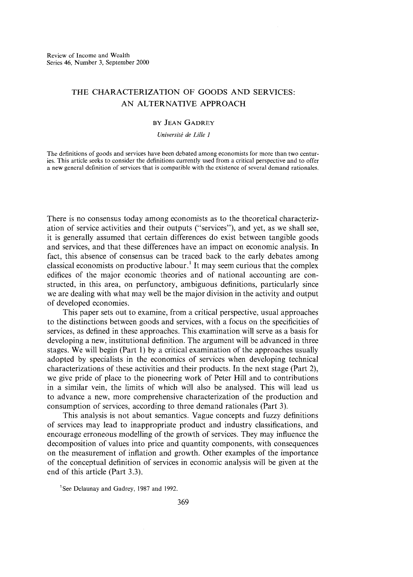# THE CHARACTERIZATION OF GOODS AND SERVICES: AN ALTERNATIVE APPROACH

### BY JEAN GADREY

#### *Universiti de Lille I*

The definitions of goods and services have been debated among economists for more than two centuries. This article seeks to consider the definitions currently used from a critical perspective and to offer a new general definition of services that is compatible with the existence of several demand rationales.

There is no consensus today among economists as to the theoretical characterization of service activities and their outputs ("services"), and yet, as we shall see, it is generally assumed that certain differences do exist between tangible goods and services, and that these differences have an impact on economic analysis. In fact, this absence of consensus can be traced back to the early debates among classical economists on productive labour.' It may seem curious that the complex edifices of the major economic theories and of national accounting are constructed, in this area, on perfunctory, ambiguous definitions, particularly since we are dealing with what may well be the major division in the activity and output of developed economies.

This paper sets out to examine, from a critical perspective, usual approaches to the distinctions between goods and services, with a focus on the specificities of services, as defined in these approaches. This examination will serve as a basis for developing a new, institutional definition. The argument will be advanced in three stages. We will begin (Part 1) by a critical examination of the approaches usually adopted by specialists in the economics of services when developing technical characterizations of these activities and their products. In the next stage (Part 2), we give pride of place to the pioneering work of Peter Hill and to contributions in a similar vein, the limits of which will also be analysed. This will lead us to advance a new, more comprehensive characterization of the production and consumption of services, according to three demand rationales (Part 3).

This analysis is not about semantics. Vague concepts and fuzzy definitions of services may lead to inappropriate product and industry classifications, and encourage erroneous modelling of the growth of services. They may influence the decomposition of values into price and quantity components, with consequences on the measurement of inflation and growth. Other examples of the importance of the conceptual definition of services in economic analysis will be given at the end of this article (Part 3.3).

<sup>&#</sup>x27;See Delaunay and Gadrey, 1987 and 1992.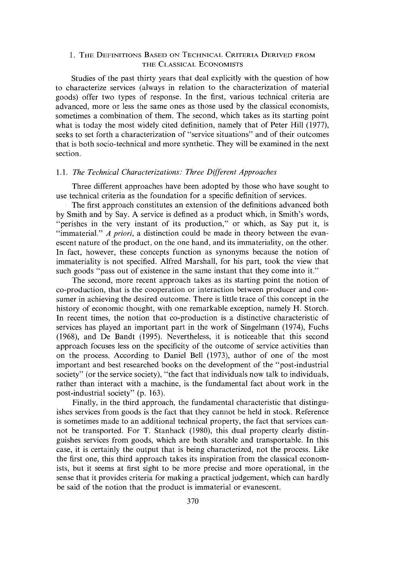# 1. THE DEFINITIONS BASED ON TECHNICAL CRITERIA DERIVED FROM THE CLASSICAL ECONOMISTS

Studies of the past thirty years that deal explicitly with the question of how to characterize services (always in relation to the characterization of material goods) offer two types of response. In the first, various technical criteria are advanced, more or less the same ones as those used by the classical economists, sometimes a combination of them. The second, which takes as its starting point what is today the most widely cited definition, namely that of Peter Hill (1977), seeks to set forth a characterization of "service situations" and of their outcomes that is both socio-technical and more synthetic. They will be examined in the next section.

## 1 .l. *The Technical Characterizations: Three Different Approaches*

Three different approaches have been adopted by those who have sought to use technical criteria as the foundation for a specific definition of services.

The first approach constitutes an extension of the definitions advanced both by Smith and by Say. A service is defined as a product which, in Smith's words, "perishes in the very instant of its production," or which, as Say put it, is "immaterial." *A priori*, a distinction could be made in theory between the evanescent nature of the product, on the one hand, and its immateriality, on the other. In fact, however, these concepts function as synonyms because the notion of immateriality is not specified. Alfred Marshall, for his part, took the view that such goods "pass out of existence in the same instant that they come into it."

The second, more recent approach takes as its starting point the notion of co-production, that is the cooperation or interaction between producer and consumer in achieving the desired outcome. There is little trace of this concept in the history of economic thought, with one remarkable exception, namely H. Storch. In recent times, the notion that co-production is a distinctive characteristic of services has played an important part in the work of Singelmann (1974), Fuchs (1968), and De Bandt (1995). Nevertheless, it is noticeable that this second approach focuses less on the specificity of the outcome of service activities than on the process. According to Daniel Bell (1973), author of one of the most important and best researched books on the development of the "post-industrial society" (or the service society), "the fact that individuals now talk to individuals, rather than interact with a machine, is the fundamental fact about work in the post-industrial society" (p. 163).

Finally, in the third approach, the fundamental characteristic that distinguishes services from goods is the fact that they cannot be held in stock. Reference is sometimes made to an additional technical property, the fact that services cannot be transported. For T. Stanback (1980), this dual property clearly distinguishes services from goods, which are both storable and transportable. In this case, it is certainly the output that is being characterized, not the process. Like the first one, this third approach takes its inspiration from the classical economists, but it seems at first sight to be more precise and more operational, in the sense that it provides criteria for making a practical judgement, which can hardly be said of the notion that the product is immaterial or evanescent.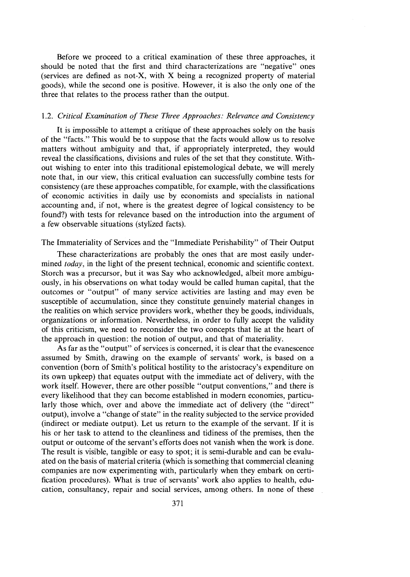Before we proceed to a critical examination of these three approaches, it should be noted that the first and third characterizations are "negative" ones (services are defined as not-X, with X being a recognized property of material goods), while the second one is positive. However, it is also the only one of the three that relates to the process rather than the output.

#### *1.2. Critical Examination of These Three Approaches: Relevance and Consistency*

It is impossible to attempt a critique of these approaches solely on the basis of the "facts." This would be to suppose that the facts would allow us to resolve matters without ambiguity and that, if appropriately interpreted, they would reveal the classifications, divisions and rules of the set that they constitute. Without wishing to enter into this traditional epistemological debate, we will merely note that, in our view, this critical evaluation can successfully combine tests for consistency (are these approaches compatible, for example, with the classifications of economic activities in daily use by economists and specialists in national accounting and, if not, where is the greatest degree of logical consistency to be found?) with tests for relevance based on the introduction into the argument of a few observable situations (stylized facts).

# The Immateriality of Services and the "Immediate Perishability" of Their Output

These characterizations are probably the ones that are most easily undermined *today*, in the light of the present technical, economic and scientific context. Storch was a precursor, but it was Say who acknowledged, albeit more ambiguously, in his observations on what today would be called human capital, that the outcomes or "output" of many service activities are lasting and may even be susceptible of accumulation, since they constitute genuinely material changes in the realities on which service providers work, whether they be goods, individuals, organizations or information. Nevertheless, in order to fully accept the validity of this criticism, we need to reconsider the two concepts that lie at the heart of the approach in question: the notion of output, and that of materiality.

As far as the "output" of services is concerned, it is clear that the evanescence assumed by Smith, drawing on the example of servants' work, is based on a convention (born of Smith's political hostility to the aristocracy's expenditure on its own upkeep) that equates output with the immediate act of delivery, with the work itself. However, there are other possible "output conventions," and there is every likelihood that they can become established in modern economies, particularly those which, over and above the immediate act of delivery (the "direct" output), involve a "change of state" in the reality subjected to the service provided (indirect or mediate output). Let us return to the example of the servant. If it is his or her task to attend to the cleanliness and tidiness of the premises, then the output or outcome of the servant's efforts does not vanish when the work is done. The result is visible, tangible or easy to spot; it is semi-durable and can be evaluated on the basis of material criteria (which is something that commercial cleaning companies are now experimenting with, particularly when they embark on certification procedures). What is true of servants' work also applies to health, education, consultancy, repair and social services, among others. In none of these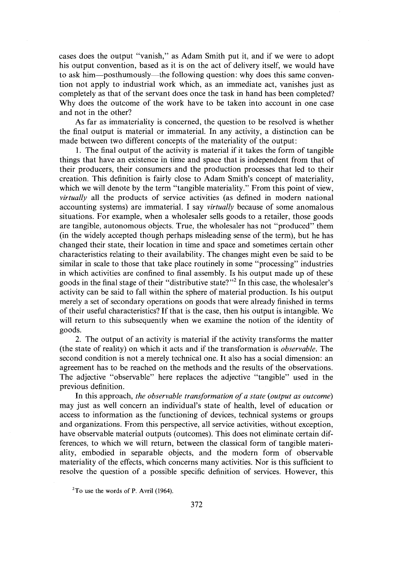cases does the output "vanish," as Adam Smith put it, and if we were to adopt his output convention, based as it is on the act of delivery itself, we would have to ask him-posthumously-the following question: why does this same convention not apply to industrial work which, as an immediate act, vanishes just as completely as that of the servant does once the task in hand has been completed? Why does the outcome of the work have to be taken into account in one case and not in the other?

As far as immateriality is concerned, the question to be resolved is whether the final output is material or immaterial. In any activity, a distinction can be made between two different concepts of the materiality of the output:

1. The final output of the activity is material if it takes the form of tangible things that have an existence in time and space that is independent from that of their producers, their consumers and the production processes that led to their creation. This definition is fairly close to Adam Smith's concept of materiality, which we will denote by the term "tangible materiality." From this point of view, virtually all the products of service activities (as defined in modern national accounting systems) are immaterial. I say virtually because of some anomalous situations. For example, when a wholesaler sells goods to a retailer, those goods are tangible, autonomous objects. True, the wholesaler has not "produced" them (in the widely accepted though perhaps misleading sense of the term), but he has changed their state, their location in time and space and sometimes certain other characteristics relating to their availability. The changes might even be said to be similar in scale to those that take place routinely in some "processing" industries in which activities are confined to final assembly. Is his output made up of these goods in the final stage of their "distributive state?"' In this case, the wholesaler's activity can be said to fall within the sphere of material production. Is his output merely a set of secondary operations on goods that were already finished in terms of their useful characteristics? If that is the case, then his output is intangible. We will return to this subsequently when we examine the notion of the identity of goods.

2. The output of an activity is material if the activity transforms the matter (the state of reality) on which it acts and if the transformation is observable. The second condition is not a merely technical one. It also has a social dimension: an agreement has to be reached on the methods and the results of the observations. The adjective "observable" here replaces the adjective "tangible" used in the previous definition.

In this approach, the observable transformation of a state (output as outcome) may just as well concern an individual's state of health, level of education or access to information as the functioning of devices, technical systems or groups and organizations. From this perspective, all service activities, without exception, have observable material outputs (outcomes). This does not eliminate certain differences, to which we will return, between the classical form of tangible materiality, embodied in separable objects, and the modern form of observable materiality of the effects, which concerns many activities. Nor is this sufficient to resolve the question of a possible specific definition of services. However, this

<sup>&</sup>lt;sup>2</sup>To use the words of P. Avril (1964).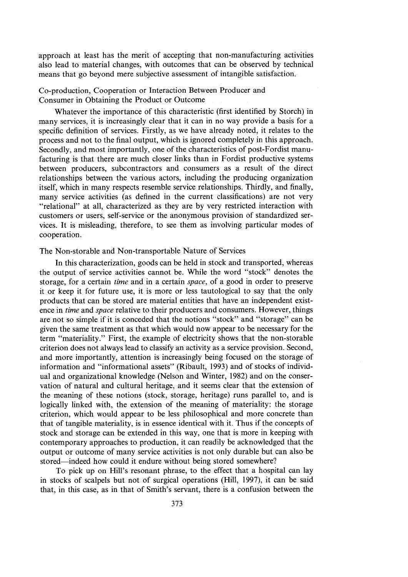approach at least has the merit of accepting that non-manufacturing activities also lead to material changes, with outcomes that can be observed by technical means that go beyond mere subjective assessment of intangible satisfaction.

Co-production, Cooperation or Interaction Between Producer and Consumer in Obtaining the Product or Outcome

Whatever the importance of this characteristic (first identified by Storch) in many services, it is increasingly clear that it can in no way provide a basis for a specific definition of services. Firstly, as we have already noted, it relates to the process and not to the final output, which is ignored completely in this approach. Secondly, and most importantly, one of the characteristics of post-Fordist manufacturing is that there are much closer links than in Fordist productive systems between producers, subcontractors and consumers as a result of the direct relationships between the various actors, including the producing organization itself, which in many respects resemble service relationships. Thirdly, and finally, many service activities (as defined in the current classifications) are not very "relational" at all, characterized as they are by very restricted interaction with customers or users, self-service or the anonymous provision of standardized services. It is misleading, therefore, to see them as involving particular modes of cooperation.

### The Non-storable and Non-transportable Nature of Services

In this characterization, goods can be held in stock and transported, whereas the output of service activities cannot be. While the word "stock" denotes the storage, for a certain time and in a certain space, of a good in order to preserve it or keep it for future use, it is more or less tautological to say that the only products that can be stored are material entities that have an independent existence in *time* and *space* relative to their producers and consumers. However, things are not so simple if it is conceded that the notions "stock" and "storage" can be given the same treatment as that which would now appear to be necessary for the term "materiality." First, the example of electricity shows that the non-storable criterion does not always lead to classify an activity as a service provision. Second, and more importantly, attention is increasingly being focused on the storage of information and "informational assets" (Ribault, 1993) and of stocks of individual and organizational knowledge (Nelson and Winter, 1982) and on the conservation of natural and cultural heritage, and it seems clear that the extension of the meaning of these notions (stock, storage, heritage) runs parallel to, and is logically linked with, the extension of the meaning of materiality: the storage criterion, which would appear to be less philosophical and more concrete than that of tangible materiality, is in essence identical with it. Thus if the concepts of stock and storage can be extended in this way, one that is more in keeping with contemporary approaches to production, it can readily be acknowledged that the output or outcome of many service activities is not only durable but can also be stored-indeed how could it endure without being stored somewhere?

To pick up on Hill's resonant phrase, to the effect that a hospital can lay in stocks of scalpels but not of surgical operations (Hill, 1997), it can be said that, in this case, as in that of Smith's servant, there is a confusion between the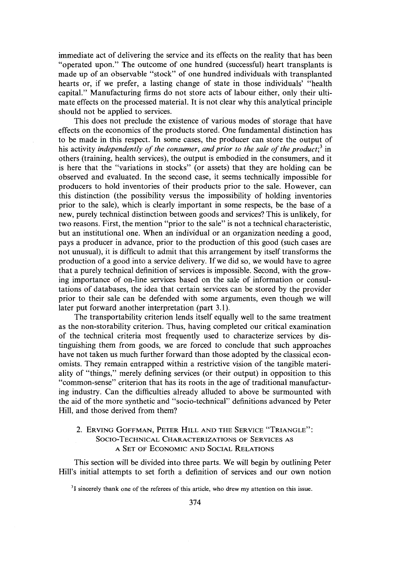immediate act of delivering the service and its effects on the reality that has been "operated upon." The outcome of one hundred (successful) heart transplants is made up of an observable "stock" of one hundred individuals with transplanted hearts or, if we prefer, a lasting change of state in those individuals' "health capital." Manufacturing firms do not store acts of labour either, only their ultimate effects on the processed material. It is not clear why this analytical principle should not be applied to services.

This does not preclude the existence of various modes of storage that have effects on the economics of the products stored. One fundamental distinction has to be made in this respect. In some cases, the producer can store the output of his activity *independently of the consumer, and prior to the sale of the product;3* in others (training, health services), the output is embodied in the consumers, and it is here that the "variations in stocks" (or assets) that they are holding can be observed and evaluated. In the second case, it seems technically impossible for producers to hold inventories of their products prior to the sale. However, can this distinction (the possibility versus the impossibility of holding inventories prior to the sale), which is clearly important in some respects, be the base of a new, purely technical distinction between goods and services? This is unlikely, for two reasons. First, the mention "prior to the sale" is not a technical characteristic, but an institutional one. When an individual or an organization needing a good, pays a producer in advance, prior to the production of this good (such cases are not unusual), it is difficult to admit that this arrangement by itself transforms the production of a good into a service delivery. If we did so, we would have to agree that a purely technical definition of services is impossible. Second, with the growing importance of on-line services based on the sale of information or consultations of databases, the idea that certain services can be stored by the provider prior to their sale can be defended with some arguments, even though we will later put forward another interpretation (part 3.1).

The transportability criterion lends itself equally well to the same treatment as the non-storability criterion. Thus, having completed our critical examination of the technical criteria most frequently used to characterize services by distinguishing them from goods, we are forced to conclude that such approaches have not taken us much further forward than those adopted by the classical economists. They remain entrapped within a restrictive vision of the tangible materiality of "things," merely defining services (or their output) in opposition to this "common-sense" criterion that has its roots in the age of traditional manufacturing industry. Can the difficulties already alluded to above be surmounted with the aid of the more synthetic and "socio-technical" definitions advanced by Peter Hill, and those derived from them?

# 2. ERVING GOFFMAN, PETER HILL AND THE SERVICE "TRIANGLE": SOCIO-TECHNICAL CHARACTERIZATIONS OF SERVICES AS A SET OF ECONOMIC AND SOCIAL RELATIONS

This section will be divided into three parts. We will begin by outlining Peter Hill's initial attempts to set forth a definition of services and our own notion

<sup>3</sup>I sincerely thank one of the referees of this article, who drew my attention on this issue.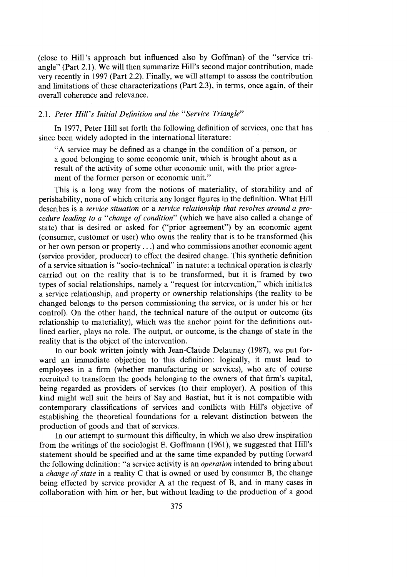(close to Hill's approach but influenced also by Goffman) of the "service triangle" (Part 2.1). We will then summarize Hill's second major contribution, made very recently in 1997 (Part 2.2). Finally, we will attempt to assess the contribution and limitations of these characterizations (Part **2.3),** in terms, once again, of their overall coherence and relevance.

# *2.1. Peter Hill's Initial Dejinition and the "Service Triangle"*

In 1977, Peter Hill set forth the following definition of services, one that has since been widely adopted in the international literature:

"A service may be defined as a change in the condition of a person, or a good belonging to some economic unit, which is brought about as a result of the activity of some other economic unit, with the prior agreement of the former person or economic unit."

This is a long way from the notions of materiality, of storability and of perishability, none of which criteria any longer figures in the definition. What Hill describes is a *service situation* or a *service relationship that revolves around a procedure leading to a "change of condition"* (which we have also called a change of state) that is desired or asked for ("prior agreement") by an economic agent (consumer, customer or user) who owns the reality that is to be transformed (his or her own person or property. . .) and who commissions another economic agent (service provider, producer) to effect the desired change. This synthetic definition of a service situation is "socio-technical" in nature: a technical operation is clearly carried out on the reality that is to be transformed, but it is framed by two types of social relationships, namely a "request for intervention," which initiates a service relationship, and property or ownership relationships (the reality to be changed belongs to the person commissioning the service, or is under his or her control). On the other hand, the technical nature of the output or outcome (its relationship to materiality), which was the anchor point for the definitions outlined earlier, plays no role. The output, or outcome, is the change of state in the reality that is the object of the intervention.

In our book written jointly with Jean-Claude Delaunay (1987), we put forward an immediate objection to this definition: logically, it must lead to employees in a firm (whether manufacturing or services), who are of course recruited to transform the goods belonging to the owners of that firm's capital, being regarded as providers of services (to their employer). A position of this kind might well suit the heirs of Say and Bastiat, but it is not compatible with contemporary classifications of services and conflicts with Hill's objective of establishing the theoretical foundations for a relevant distinction between the production of goods and that of services.

In our attempt to surmount this difficulty, in which we also drew inspiration from the writings of the sociologist E. Goffmann (1961), we suggested that Hill's statement should be specified and at the same time expanded by putting forward the following definition: "a service activity is an *operation* intended to bring about a *change of state* in a reality C that is owned or used by consumer B, the change being effected by service provider **A** at the request of B, and in many cases in collaboration with him or her, but without leading to the production of a good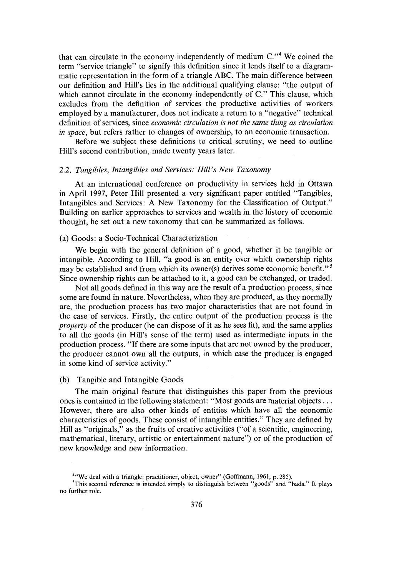that can circulate in the economy independently of medium  $C$ ."<sup>4</sup> We coined the term "service triangle" to signify this definition since it lends itself to a diagrammatic representation in the form of a triangle ABC. The main difference between our definition and Hill's lies in the additional qualifying clause: "the output of which cannot circulate in the economy independently of *C."* This clause, which excludes from the definition of services the productive activities of workers employed by a manufacturer, does not indicate a return to a "negative" technical definition of services, since *economic circulation is not the same thing as circulation in space,* but refers rather to changes of ownership, to an economic transaction.

Before we subject these definitions to critical scrutiny, we need to outline Hill's second contribution, made twenty years later.

#### *2.2. Tangibles, Intangibles and Services: Hill's New Taxonomy*

At an international conference on productivity in services held in Ottawa in April 1997, Peter Hill presented a very significant paper entitled "Tangibles, Intangibles and Services: A New Taxonomy for the Classification of Output." Building on earlier approaches to services and wealth in the history of economic thought, he set out a new taxonomy that can be summarized as follows.

# (a) Goods: a Socio-Technical Characterization

We begin with the general definition of a good, whether it be tangible or intangible. According to Hill, "a good is an entity over which ownership rights may be established and from which its owner(s) derives some economic benefit."<sup>5</sup> Since ownership rights can be attached to it, a good can be exchanged, or traded.

Not all goods defined in this way are the result of a production process, since some are found in nature. Nevertheless, when they are produced, as they normally are, the production process has two major characteristics that are not found in the case of services. Firstly, the entire output of the production process is the *property* of the producer (he can dispose of it as he sees fit), and the same applies to all the goods (in Hill's sense of the term) used as intermediate inputs in the production process. "If there are some inputs that are not owned by the producer, the producer cannot own all the outputs, in which case the producer is engaged in some kind of service activity."

#### (b) Tangible and Intangible Goods

The main original feature that distinguishes this paper from the previous ones is contained in the following statement: "Most goods are material objects . . . However, there are also other kinds of entities which have all the economic characteristics of goods. These consist of intangible entities." They are defined by Hill as "originals," as the fruits of creative activities ("of a scientific, engineering, mathematical, literary, artistic or entertainment nature") or of the production of new knowledge and new information.

<sup>&</sup>lt;sup>4</sup>"We deal with a triangle: practitioner, object, owner" (Goffmann, 1961, p. 285).

 $5$ This second reference is intended simply to distinguish between "goods" and "bads." It plays no further role.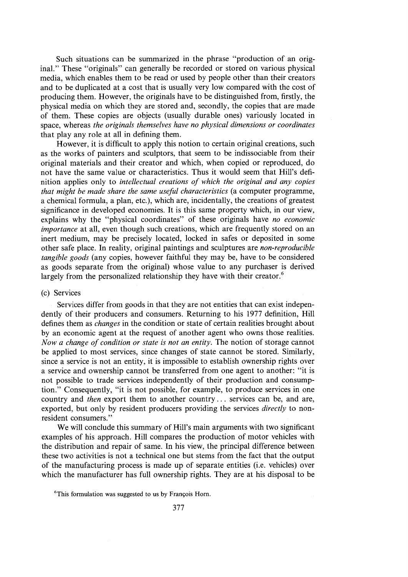Such situations can be summarized in the phrase "production of an original." These "originals" can generally be recorded or stored on various physical media, which enables them to be read or used by people other than their creators and to be duplicated at a cost that is usually very low compared with the cost of producing them. However, the originals have to be distinguished from, firstly, the physical media on which they are stored and, secondly, the copies that are made of them. These copies are objects (usually durable ones) variously located in space, whereas *the originals themselves have no physical dimensions or coordinates*  that play any role at all in defining them.

However, it is difficult to apply this notion to certain original creations, such as the works of painters and sculptors, that seem to be indissociable from their original materials and their creator and which, when copied or reproduced, do not have the same value or characteristics. Thus it would seem that Hill's definition applies only to *intellectual creations of which the original and any copies that might be made share the same useful characteristics* (a computer programme, a chemical formula, a plan, etc.), which are, incidentally, the creations of greatest significance in developed economies. It is this same property which, in our view, explains why the "physical coordinates" of these originals have *no economic importance* at all, even though such creations, which are frequently stored on an inert medium, may be precisely located, locked in safes or deposited in some other safe place. In reality, original paintings and sculptures are *non-reproducible tangible goods* (any copies, however faithful they may be, have to be considered as goods separate from the original) whose value to any purchaser is derived largely from the personalized relationship they have with their creator. $<sup>6</sup>$ </sup>

#### (c) Services

Services differ from goods in that they are not entities that can exist independently of their producers and consumers. Returning to his 1977 definition, Hill defines them as *changes* in the condition or state of certain realities brought about by an economic agent at the request of another agent who owns those realities. *Now a change of condition or state is not an entity.* The notion of storage cannot be applied to most services, since changes of state cannot be stored. Similarly, since a service is not an entity, it is impossible to establish ownership rights over a service and ownership cannot be transferred from one agent to another: "it is not possible to trade services independently of their production and consumption." Consequently, "it is not possible, for example, to produce services in one country and *then* export them to another country.. . services can be, and are, exported, but only by resident producers providing the services *directly* to nonresident consumers."

We will conclude this summary of Hill's main arguments with two significant examples of his approach. Hill compares the production of motor vehicles with the distribution and repair of same. In his view, the principal difference between these two activities is not a technical one but stems from the fact that the output of the manufacturing process is made up of separate entities (i.e. vehicles) over which the manufacturer has full ownership rights. They are at his disposal to be

 $6<sup>6</sup>$ This formulation was suggested to us by François Horn.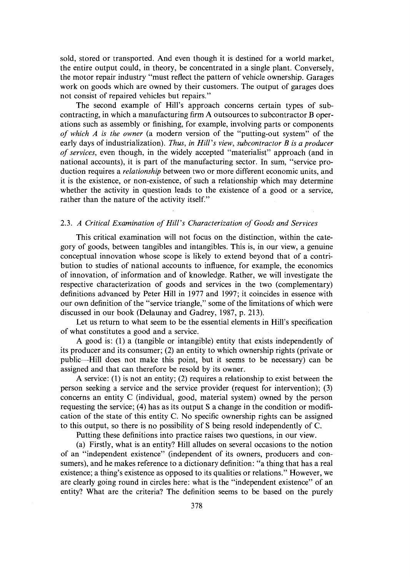sold, stored or transported. And even though it is destined for a world market, the entire output could, in theory, be concentrated in a single plant. Conversely, the motor repair industry "must reflect the pattern of vehicle ownership. Garages work on goods which are owned by their customers. The output of garages does not consist of repaired vehicles but repairs."

The second example of Hill's approach concerns certain types of subcontracting, in which a manufacturing firm A outsources to subcontractor B operations such as assembly or finishing, for example, involving parts or components *of which A is the owner* (a modern version of the "putting-out system" of the early days of industrialization). *Thus, in Hill's view, subcontractor B is a producer of services, even though, in the widely accepted "materialist" approach (and in* national accounts), it is part of the manufacturing sector. In sum, "service production requires a *relationship* between two or more different economic units, and it is the existence, or non-existence, of such a relationship which may determine whether the activity in question leads to the existence of a good or a service, rather than the nature of the activity itself."

#### 2.3. *A Critical Examination of Hill's Characterization of Goods and Services*

This critical examination will not focus on the distinction, within the category of goods, between tangibles and intangibles. This is, in our view, a genuine conceptual innovation whose scope is likely to extend beyond that of a contribution to studies of national accounts to influence, for example, the economics of innovation, of information and of knowledge. Rather, we will investigate the respective characterization of goods and services in the two (complementary) definitions advanced by Peter Hill in 1977 and 1997; it coincides in essence with our own definition of the "service triangle," some of the limitations of which were discussed in our book (Delaunay and Gadrey, 1987, p. 213).

Let us return to what seem to be the essential elements in Hill's specification of what constitutes a good and a service.

A good is: (1) a (tangible or intangible) entity that exists independently of its producer and its consumer; (2) an entity to which ownership rights (private or public-Hill does not make this point, but it seems to be necessary) can be assigned and that can therefore be resold by its owner.

A service: (1) is not an entity; (2) requires a relationship to exist between the person seeking a service and the service provider (request for intervention); (3) concerns an entity C (individual, good, material system) owned by the person requesting the service; (4) has as its output S a change in the condition or modification of the state of this entity *C.* No specific ownership rights can be assigned to this output, so there is no possibility of S being resold independently of *C.* 

Putting these definitions into practice raises two questions, in our view.

(a) Firstly, what is an entity? Hill alludes on several occasions to the notion of an "independent existence" (independent of its owners, producers and consumers), and he makes reference to a dictionary definition: "a thing that has a real existence; a thing's existence as opposed to its qualities or relations." However, we are clearly going round in circles here: what is the "independent existence" of an entity? What are the criteria? The definition seems to be based on the purely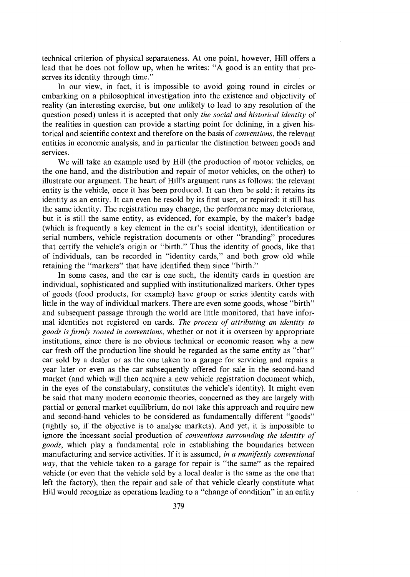technical criterion of physical separateness. At one point, however, Hill offers a lead that he does not follow up, when he writes: **"A** good is an entity that preserves its identity through time."

In our view, in fact, it is impossible to avoid going round in circles or embarking on a philosophical investigation into the existence and objectivity of reality (an interesting exercise, but one unlikely to lead to any resolution of the question posed) unless it is accepted that only *the social and historical identity* of the realities in question can provide a starting point for defining, in a given historical and scientific context and therefore on the basis of *conventions,* the relevant entities in economic analysis, and in particular the distinction between goods and services.

We will take an example used by Hill (the production of motor vehicles, on the one hand, and the distribution and repair of motor vehicles, on the other) to illustrate our argument. The heart of Hill's argument runs as follows: the relevant entity is the vehicle, once it has been produced. It can then be sold: it retains its identity as an entity. It can even be resold by its first user, or repaired: it still has the same identity. The registration may change, the performance may deteriorate, but it is still the same entity, as evidenced, for example, by the maker's badge (which is frequently a key element in the car's social identity), identification or serial numbers, vehicle registration documents or other "branding" procedures that certify the vehicle's origin or "birth." Thus the identity of goods, like that of individuals, can be recorded in "identity cards," and both grow old while retaining the "markers" that have identified them since "birth."

In some cases, and the car is one such, the identity cards in question are individual, sophisticated and supplied with institutionalized markers. Other types of goods (food products, for example) have group or series identity cards with little in the way of individual markers. There are even some goods, whose "birth" and subsequent passage through the world are little monitored, that have informal identities not registered on cards. *The process of attributing an identity to*  goods is firmly rooted in conventions, whether or not it is overseen by appropriate institutions, since there is no obvious technical or economic reason why a new car fresh off the production line should be regarded as the same entity as "that" car sold by a dealer or as the one taken to a garage for servicing and repairs a year later or even as the car subsequently offered for sale in the second-hand market (and which will then acquire a new vehicle registration document which, in the eyes of the constabulary, constitutes the vehicle's identity). It might even be said that many modern economic theories, concerned as they are largely with partial or general market equilibrium, do not take this approach and require new and second-hand vehicles to be considered as fundamentally different "goods" (rightly so, if the objective is to analyse markets). And yet, it is impossible to ignore the incessant social production of *conventions surrounding the identity of goods,* which play a fundamental role in establishing the boundaries between manufacturing and service activities. If it is assumed, *in a manifestly conventional way,* that the vehicle taken to a garage for repair is "the same" as the repaired vehicle (or even that the vehicle sold by a local dealer is the same as the one that left the factory), then the repair and sale of that vehicle clearly constitute what Hill would recognize as operations leading to a "change of condition" in an entity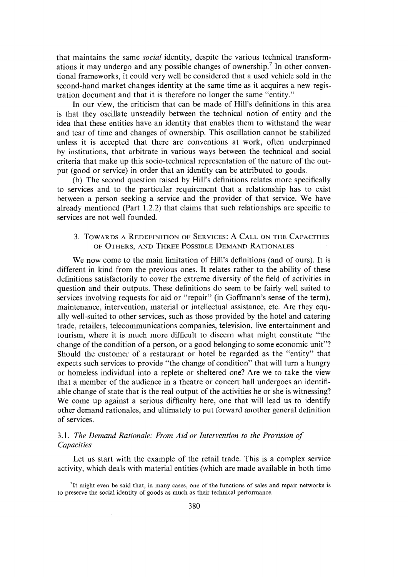that maintains the same *social* identity, despite the various technical transformations it may undergo and any possible changes of ownership.<sup>7</sup> In other conventional frameworks, it could very well be considered that a used vehicle sold in the second-hand market changes identity at the same time as it acquires a new registration document and that it is therefore no longer the same "entity."

In our view, the criticism that can be made of Hill's definitions in this area is that they oscillate unsteadily between the technical notion of entity and the idea that these entities have an identity that enables them to withstand the wear and tear of time and changes of ownership. This oscillation cannot be stabilized unless it is accepted that there are conventions at work, often underpinned by institutions, that arbitrate in various ways between the technical and social criteria that make up this socio-technical representation of the nature of the output (good or service) in order that an identity can be attributed to goods.

(b) The second question raised by Hill's definitions relates more specifically to services and to the particular requirement that a relationship has to exist between a person seeking a service and the provider of that service. We have already mentioned (Part 1.2.2) that claims that such relationships are specific to services are not well founded.

# 3. TOWARDS A REDEFINITION OF SERVICES: A CALL ON THE CAPACITIES OF OTHERS, AND THREE POSSIBLE DEMAND RATIONALES

We now come to the main limitation of Hill's definitions (and of ours). It is different in kind from the previous ones. It relates rather to the ability of these definitions satisfactorily to cover the extreme diversity of the field of activities in question and their outputs. These definitions do seem to be fairly well suited to services involving requests for aid or "repair" (in Goffmann's sense of the term), maintenance, intervention, material or intellectual assistance, etc. Are they equally well-suited to other services, such as those provided by the hotel and catering trade, retailers, telecommunications companies, television, live entertainment and tourism, where it is much more difficult to discern what might constitute "the change of the condition of a person, or a good belonging to some economic unit"? Should the customer of a restaurant or hotel be regarded as the "entity" that expects such services to provide "the change of condition" that will turn a hungry or homeless individual into a replete or sheltered one? Are we to take the view that a member of the audience in a theatre or concert hall undergoes an identifiable change of state that is the real output of the activities he or she is witnessing? We come up against a serious difficulty here, one that will lead us to identify other demand rationales, and ultimately to put forward another general definition of services.

# *3.1. The Demand Rationale: From Aid or Intervention to the Provision of Capacities*

Let us start with the example of the retail trade. This is a complex service activity, which deals with material entities (which are made available in both time

 $^7$ It might even be said that, in many cases, one of the functions of sales and repair networks is to preserve the social identity of goods as much as their technical performance.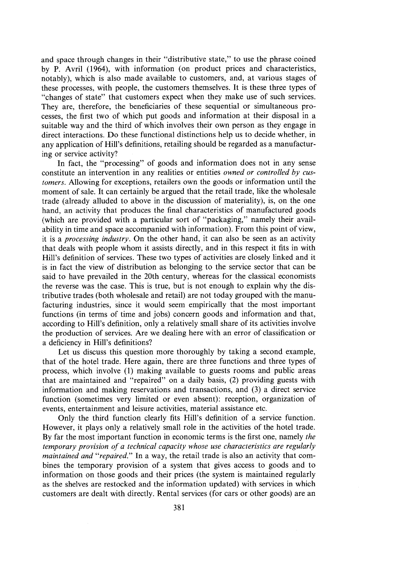and space through changes in their "distributive state," to use the phrase coined by P. Avril (1964), with information (on product prices and characteristics, notably), which is also made available to customers, and, at various stages of these processes, with people, the customers themselves. It is these three types of "changes of state" that customers expect when they make use of such services. They are, therefore, the beneficiaries of these sequential or simultaneous processes, the first two of which put goods and information at their disposal in a suitable way and the third of which involves their own person as they engage in direct interactions. Do these functional distinctions help us to decide whether, in any application of Hill's definitions, retailing should be regarded as a manufacturing or service activity?

In fact, the "processing" of goods and information does not in any sense constitute an intervention in any realities or entities *owned or controlled by customers.* Allowing for exceptions, retailers own the goods or information until the moment of sale. It can certainly be argued that the retail trade, like the wholesale trade (already alluded to above in the discussion of materiality), is, on the one hand, an activity that produces the final characteristics of manufactured goods (which are provided with a particular sort of "packaging," namely their availability in time and space accompanied with information). From this point of view, it is a *processing industry.* On the other hand, it can also be seen as an activity that deals with people whom it assists directly, and in this respect it fits in with Hill's definition of services. These two types of activities are closely linked and it is in fact the view of distribution as belonging to the service sector that can be said to have prevailed in the 20th century, whereas for the classical economists the reverse was the case. This is true, but is not enough to explain why the distributive trades (both wholesale and retail) are not today grouped with the manufacturing industries, since it would seem empirically that the most important functions (in terms of time and jobs) concern goods and information and that, according to Hill's definition, only a relatively small share of its activities involve the production of services. Are we dealing here with an error of classification or a deficiency in Hill's definitions?

Let us discuss this question more thoroughly by taking a second example, that of the hotel trade. Here again, there are three functions and three types of process, which involve (1) making available to guests rooms and public areas that are maintained and "repaired" on a daily basis, (2) providing guests with information and making reservations and transactions, and **(3)** a direct service function (sometimes very limited or even absent): reception, organization of events, entertainment and leisure activities, material assistance etc.

Only the third function clearly fits Hill's definition of a service function. However, it plays only a relatively small role in the activities of the hotel trade. By far the most important function in economic terms is the first one, namely *the temporary provision of a technical capacity whose use characteristics are regularly maintained and "repaired."* In a way, the retail trade is also an activity that combines the temporary provision of a system that gives access to goods and to information on those goods and their prices (the system is maintained regularly as the shelves are restocked and the information updated) with services in which customers are dealt with directly. Rental services (for cars or other goods) are an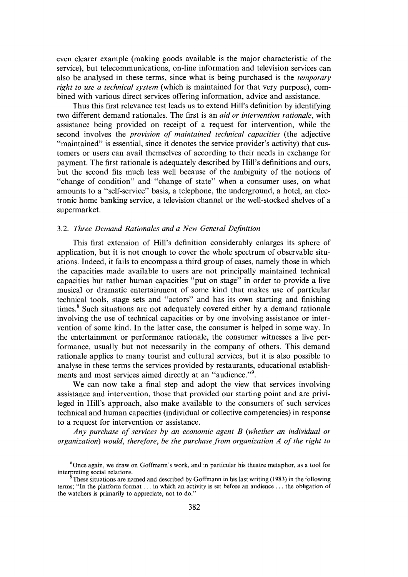even clearer example (making goods available is the major characteristic of the service), but telecommunications, on-line information and television services can also be analysed in these terms, since what is being purchased is the *temporary right to use a technical system* (which is maintained for that very purpose), combined with various direct services offering information, advice and assistance.

Thus this first relevance test leads us to extend Hill's definition by identifying two different demand rationales. The first is an *aid or intervention rationale,* with assistance being provided on receipt of a request for intervention, while the second involves the *provision of maintained technical capacities* (the adjective "maintained" is essential, since it denotes the service provider's activity) that customers or users can avail themselves of according to their needs in exchange for payment. The first rationale is adequately described by Hill's definitions and ours, but the second fits much less well because of the ambiguity of the notions of "change of condition" and "change of state" when a consumer uses, on what amounts to a "self-service" basis, a telephone, the underground, a hotel, an electronic home banking service, a television channel or the well-stocked shelves of a supermarket.

### **3.2.** *Three Demand Rationales and a New General Definition*

This first extension of Hill's definition considerably enlarges its sphere of application, but it is not enough to cover the whole spectrum of observable situations. Indeed, it fails to encompass a third group of cases, namely those in which the capacities made available to users are not principally maintained technical capacities but rather human capacities "put on stage" in order to provide a live musical or dramatic entertainment of some kind that makes use of particular technical tools, stage sets and "actors" and has its own starting and finishing times.<sup>8</sup> Such situations are not adequately covered either by a demand rationale involving the use of technical capacities or by one involving assistance or intervention of some kind. In the latter case, the consumer is helped in some way. In the entertainment or performance rationale, the consumer witnesses a live performance, usually but not necessarily in the company of others. This demand rationale applies to many tourist and cultural services, but it is also possible to analyse in these terms the services provided by restaurants, educational establishments and most services aimed directly at an "audience."<sup>9</sup>.

We can now take a final step and adopt the view that services involving assistance and intervention, those that provided our starting point and are privileged in Hill's approach, also make available to the consumers of such services technical and human capacities (individual or collective competencies) in response to a request for intervention or assistance.

*Any purchase of services by an economic agent B (whether an individual or organization) would, therefore, be the purchase from organization A of the right to* 

<sup>&</sup>lt;sup>8</sup>Once again, we draw on Goffmann's work, and in particular his theatre metaphor, as a tool for interpreting social relations.

These situations are named and described by Goffmann in his last writing (1983) in the following terms; "In the platform format . . . in which an activity is set before an audience . . . the obligation of the watchers is primarily to appreciate, not to do."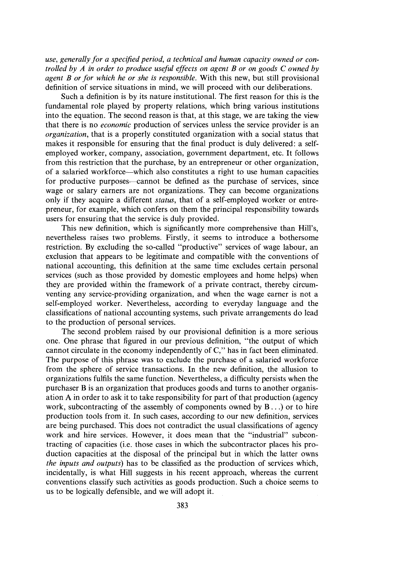*use, generally for a specijied period, a technical and human capacity owned or controlled by A in order to produce useful effects on agent B or on goods C owned by agent B or for which he or she is responsible.* With this new, but still provisional definition of service situations in mind, we will proceed with our deliberations.

Such a definition is by its nature institutional. The first reason for this is the fundamental role played by property relations, which bring various institutions into the equation. The second reason is that, at this stage, we are taking the view that there is no *economic* production of services unless the service provider is an *organization,* that is a properly constituted organization with a social status that makes it responsible for ensuring that the final product is duly delivered: a selfemployed worker, company, association, government department, etc. It follows from this restriction that the purchase, by an entrepreneur or other organization, of a salaried workforce-which also constitutes a right to use human capacities for productive purposes—cannot be defined as the purchase of services, since wage or salary earners are not organizations. They can become organizations only if they acquire a different *status,* that of a self-employed worker or entrepreneur, for example, which confers on them the principal responsibility towards users for ensuring that the service is duly provided.

This new definition, which is significantly more comprehensive than Hill's, nevertheless raises two problems. Firstly, it seems to introduce a bothersome restriction. By excluding the so-called "productive" services of wage labour, an exclusion that appears to be legitimate and compatible with the conventions of national accounting, this definition at the same time excludes certain personal services (such as those provided by domestic employees and home helps) when they are provided within the framework of a private contract, thereby circumventing any service-providing organization, and when the wage earner is not a self-employed worker. Nevertheless, according to everyday language and the classifications of national accounting systems, such private arrangements do lead to the production of personal services.

The second problem raised by our provisional definition is a more serious one. One phrase that figured in our previous definition, "the output of which cannot circulate in the economy independently of C," has in fact been eliminated. The purpose of this phrase was to exclude the purchase of a salaried workforce from the sphere of service transactions. In the new definition, the allusion to organizations fulfils the same function. Nevertheless, a difficulty persists when the purchaser B is an organization that produces goods and turns to another organisation **A** in order to ask it to take responsibility for part of that production (agency work, subcontracting of the assembly of components owned by  $B \dots$ ) or to hire production tools from it. In such cases, according to our new definition, services are being purchased. This does not contradict the usual classifications of agency work and hire services. However, it does mean that the "industrial" subcontracting of capacities (i.e. those cases in which the subcontractor places his production capacities at the disposal of the principal but in which the latter owns *the inputs and outputs)* has to be classified as the production of services which, incidentally, is what Hill suggests in his recent approach, whereas the current conventions classify such activities as goods production. Such a choice seems to us to be logically defensible, and we will adopt it.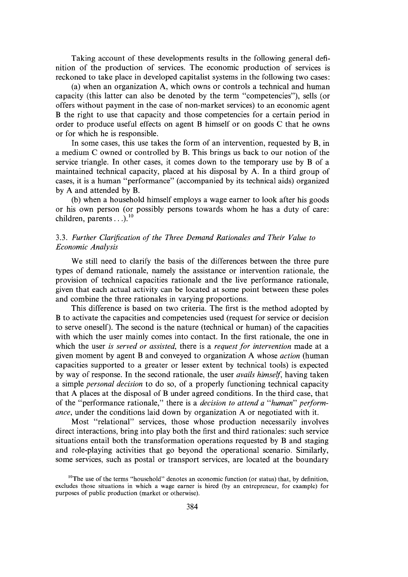Taking account of these developments results in the following general definition of the production of services. The economic production of services is reckoned to take place in developed capitalist systems in the following two cases:

(a) when an organization A, which owns or controls a technical and human capacity (this latter can also be denoted by the term "competencies"), sells (or offers without payment in the case of non-market services) to an economic agent B the right to use that capacity and those competencies for a certain period in order to produce useful effects on agent B himself or on goods C that he owns or for which he is responsible.

In some cases, this use takes the form of an intervention, requested by B, in a medium *C* owned or controlled by B. This brings us back to our notion of the service triangle. In other cases, it comes down to the temporary use by B of a maintained technical capacity, placed at his disposal by A. In a third group of cases, it is a human "performance" (accompanied by its technical aids) organized by A and attended by B.

(b) when a household himself employs a wage earner to look after his goods or his own person (or possibly persons towards whom he has a duty of care: children, parents  $\dots$ .  $^{10}$ 

# **3.3.** *Further Clarijication of the Three Demand Rationales and Their Value to Economic Analysis*

We still need to clarify the basis of the differences between the three pure types of demand rationale, namely the assistance or intervention rationale, the provision of technical capacities rationale and the live performance rationale, given that each actual activity can be located at some point between these poles and combine the three rationales in varying proportions.

This difference is based on two criteria. The first is the method adopted by B to activate the capacities and competencies used (request for service or decision to serve oneself). The second is the nature (technical or human) of the capacities with which the user mainly comes into contact. In the first rationale, the one in which the user *is served or assisted,* there is a *request for intervention* made at a given moment by agent B and conveyed to organization A whose *action* (human capacities supported to a greater or lesser extent by technical tools) is expected by way of response. In the second rationale, the user *avails himself,* having taken a simple *personal decision* to do so, of a properly functioning technical capacity that A places at the disposal of B under agreed conditions. In the third case, that of the "performance rationale," there is a *decision to attend a "human" performance,* under the conditions laid down by organization A or negotiated with it.

Most "relational" services, those whose production necessarily involves direct interactions, bring into play both the first and third rationales: such service situations entail both the transformation operations requested by B and staging and role-playing activities that go beyond the operational scenario. Similarly, some services, such as postal or transport services, are located at the boundary

<sup>&</sup>lt;sup>10</sup>The use of the terms "household" denotes an economic function (or status) that, by definition, excludes those situations in which a wage earner is hired (by an entrepreneur, for example) for purposes of public production (market or otherwise).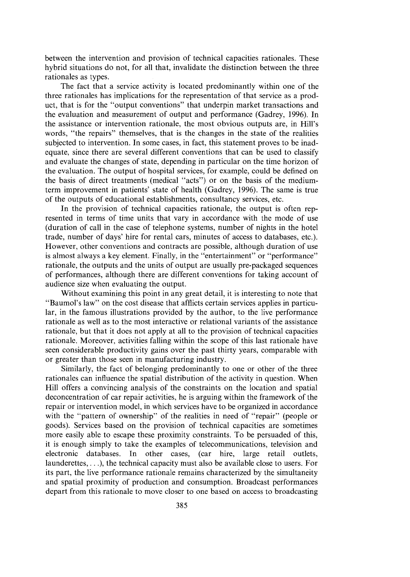between the intervention and provision of technical capacities rationales. These hybrid situations do not, for all that, invalidate the distinction between the three rationales as types.

The fact that a service activity is located predominantly within one of the three rationales has implications for the representation of that service as a product, that is for the "output conventions" that underpin market transactions and the evaluation and measurement of output and performance (Gadrey, 1996). In the assistance or intervention rationale, the most obvious outputs are, in Hill's words, "the repairs" themselves, that is the changes in the state of the realities subjected to intervention. In some cases, in fact, this statement proves to be inadequate, since there are several different conventions that can be used to classify and evaluate the changes of state, depending in particular on the time horizon of the evaluation. The output of hospital services, for example, could be defined on the basis of direct treatments (medical "acts") or on the basis of the mediumterm improvement in patients' state of health (Gadrey, 1996). The same is true of the outputs of educational establishments, consultancy services, etc.

In the provision of technical capacities rationale, the output is often represented in terms of time units that vary in accordance with the mode of use (duration of call in the case of telephone systems, number of nights in the hotel trade, number of days' hire for rental cars, minutes of access to databases, etc.). However, other conventions and contracts are possible, although duration of use is almost always a key element. Finally, in the "entertainment" or "performance" rationale, the outputs and the units of output are usually pre-packaged sequences of performances, although there are different conventions for taking account of audience size when evaluating the output.

Without examining this point in any great detail, it is interesting to note that "Baumol's law" on the cost disease that afflicts certain services applies in particular, in the famous illustrations provided by the author, to the live performance rationale as well as to the most interactive or relational variants of the assistance rationale, but that it does not apply at all to the provision of technical capacities rationale. Moreover, activities falling within the scope of this last rationale have seen considerable productivity gains over the past thirty years, comparable with or greater than those seen in manufacturing industry.

Similarly, the fact of belonging predominantly to one or other of the three rationales can influence the spatial distribution of the activity in question. When Hill offers a convincing analysis of the constraints on the location and spatial deconcentration of car repair activities, he is arguing within the framework of the repair or intervention model, in which services have to be organized in accordance with the "pattern of ownership" of the realities in need of "repair" (people or goods). Services based on the provision of technical capacities are sometimes more easily able to escape these proximity constraints. To be persuaded of this, it is enough simply to take the examples of telecommunications, television and electronic databases. In other cases, (car hire, large retail outlets, launderettes,. . .), the technical capacity must also be available close to users. For its part, the live performance rationale remains characterized by the simultaneity and spatial proximity of production and consumption. Broadcast performances depart from this rationale to move closer to one based on access to broadcasting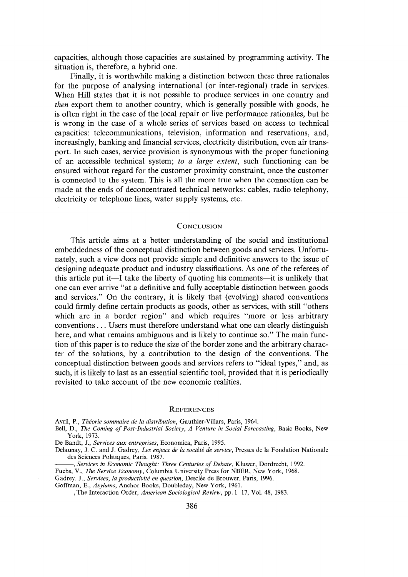capacities, although those capacities are sustained by programming activity. The situation is, therefore, a hybrid one.

Finally, it is worthwhile making a distinction between these three rationales for the purpose of analysing international (or inter-regional) trade in services. When Hill states that it is not possible to produce services in one country and *then* export them to another country, which is generally possible with goods, he is often right in the case of the local repair or live performance rationales, but he is wrong in the case of a whole series of services based on access to technical capacities: telecommunications, television, information and reservations, and, increasingly, banking and financial services, electricity distribution, even air transport. In such cases, service provision is synonymous with the proper functioning of an accessible technical system; *to* a large *extent,* such functioning can be ensured without regard for the customer proximity constraint, once the customer is connected to the system. This is all the more true when the connection can be made at the ends of deconcentrated technical networks: cables, radio telephony, electricity or telephone lines, water supply systems, etc.

#### **CONCLUSION**

This article aims at a better understanding of the social and institutional embeddedness of the conceptual distinction between goods and services. Unfortunately, such a view does not provide simple and definitive answers to the issue of designing adequate product and industry classifications. As one of the referees of this article put it—I take the liberty of quoting his comments—it is unlikely that one can ever arrive "at a definitive and fully acceptable distinction between goods and services." On the contrary, it is likely that (evolving) shared conventions could firmly define certain products as goods, other as services, with still "others which are in a border region" and which requires "more or less arbitrary conventions. . . Users must therefore understand what one can clearly distinguish here, and what remains ambiguous and is likely to continue so." The main function of this paper is to reduce the size of the border zone and the arbitrary character of the solutions, by a contribution to the design of the conventions. The conceptual distinction between goods and services refers to "ideal types," and, as such, it is likely to last as an essential scientific tool, provided that it is periodically revisited to take account of the new economic realities.

#### **REFERENCES**

Avril, P., *The'orie sommaire de la distribution,* Gauthier-Villars, Paris, 1964.

Bell, D., *The Coming of Post-Industrial Society, A Venture in Social Forecasting*, Basic Books, New York, 1973.

De Bandt, J., *Services aux entreprises,* Econornica, Paris, 1995.

- *,Services in Economic Thought: Three Centuries of Debate,* Kluwer, Dordrecht, 1992.
- Fuchs, V., *The Service Economy,* Columbia University Press for NBER, New York, 1968.
- Gadrey, J., *Services, la productivité en question*, Desclée de Brouwer, Paris, 1996.
- Goffman, E., *Asylums,* Anchor Books, Doubleday, New York, 1961.

,The Interaction Order, *American Sociological Review,* pp. 1-17, Vol. 48, 1983.

Delaunay, J. C. and J. Gadrey, *Les enjeux de la sociite' de service,* Presses de la Fondation Nationale des Sciences Politiques, Paris, 1987.